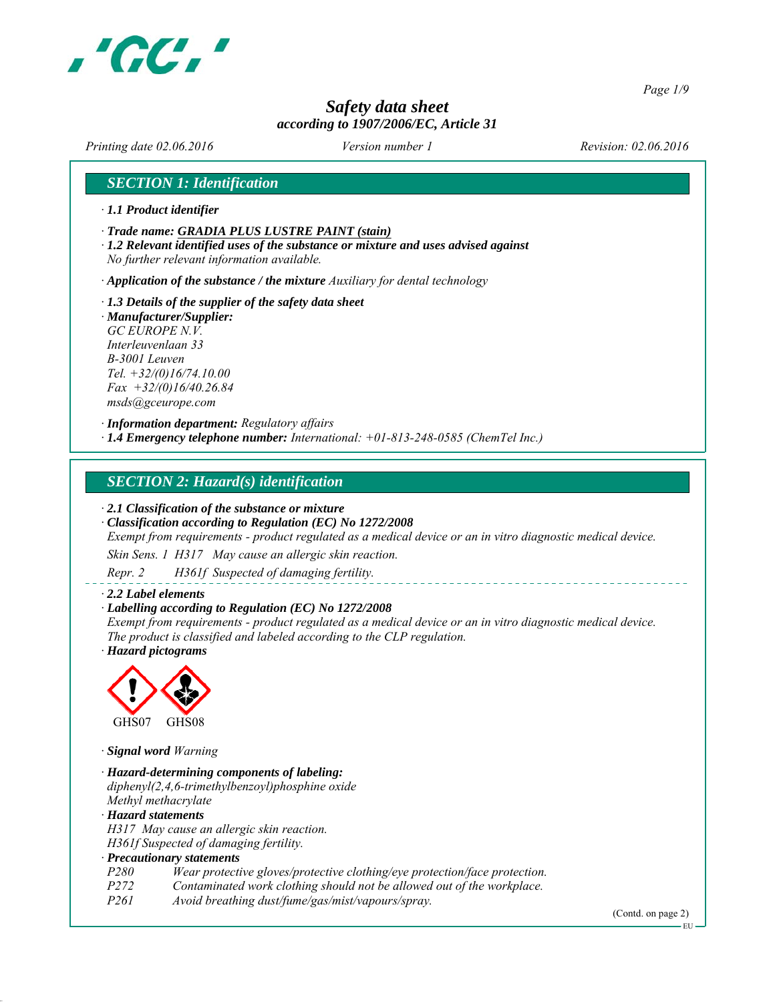

*Page 1/9*

# *Safety data sheet according to 1907/2006/EC, Article 31*

*Printing date 02.06.2016 Revision: 02.06.2016 Version number 1*

# *SECTION 1: Identification*

- *∙ 1.1 Product identifier*
- *∙ Trade name: GRADIA PLUS LUSTRE PAINT (stain)*
- *∙ 1.2 Relevant identified uses of the substance or mixture and uses advised against No further relevant information available.*

*∙ Application of the substance / the mixture Auxiliary for dental technology*

- *∙ 1.3 Details of the supplier of the safety data sheet ∙ Manufacturer/Supplier:*
- *GC EUROPE N.V. Interleuvenlaan 33 B-3001 Leuven Tel. +32/(0)16/74.10.00 Fax +32/(0)16/40.26.84 msds@gceurope.com*

*∙ Information department: Regulatory affairs ∙ 1.4 Emergency telephone number: International: +01-813-248-0585 (ChemTel Inc.)*

# *SECTION 2: Hazard(s) identification*

*∙ 2.1 Classification of the substance or mixture*

*∙ Classification according to Regulation (EC) No 1272/2008*

*Exempt from requirements - product regulated as a medical device or an in vitro diagnostic medical device.*

*Skin Sens. 1 H317 May cause an allergic skin reaction.*

*Repr. 2 H361f Suspected of damaging fertility.*

#### *∙ 2.2 Label elements*

#### *∙ Labelling according to Regulation (EC) No 1272/2008*

*Exempt from requirements - product regulated as a medical device or an in vitro diagnostic medical device. The product is classified and labeled according to the CLP regulation. ∙ Hazard pictograms*



*∙ Signal word Warning*

*∙ Hazard-determining components of labeling: diphenyl(2,4,6-trimethylbenzoyl)phosphine oxide Methyl methacrylate ∙ Hazard statements H317 May cause an allergic skin reaction. H361f Suspected of damaging fertility. ∙ Precautionary statements P280 Wear protective gloves/protective clothing/eye protection/face protection. P272 Contaminated work clothing should not be allowed out of the workplace. Avoid breathing dust/fume/gas/mist/vapours/spray.* 

(Contd. on page 2)

EU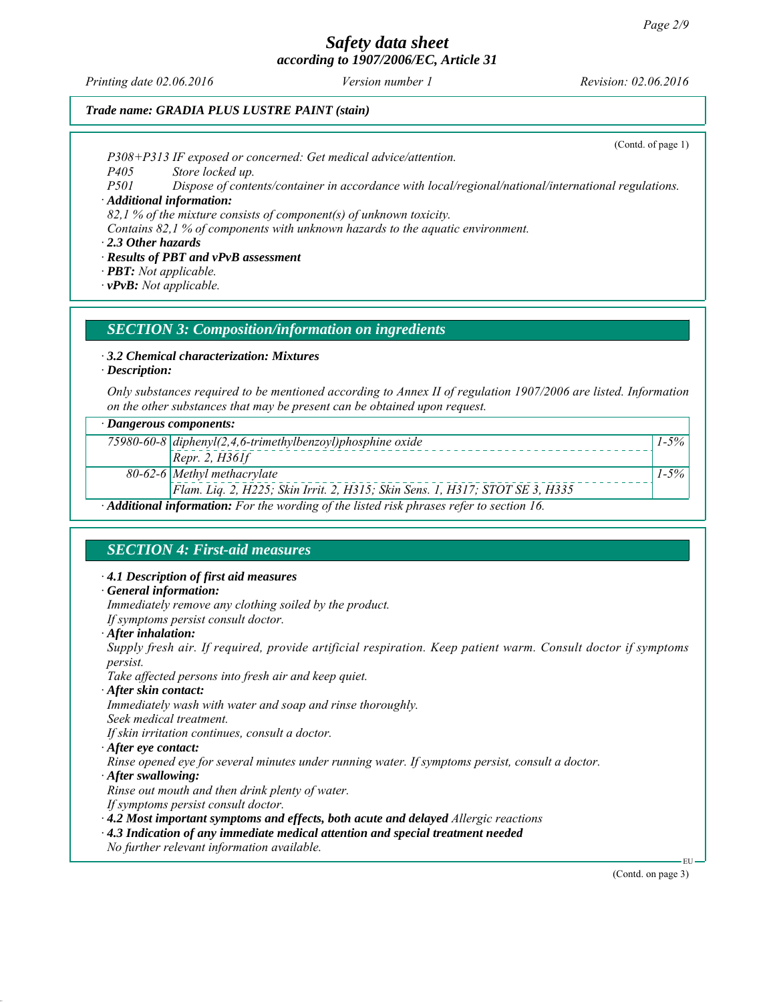*Printing date 02.06.2016 Revision: 02.06.2016 Version number 1*

(Contd. of page 1)

# *Trade name: GRADIA PLUS LUSTRE PAINT (stain)*

*P308+P313 IF exposed or concerned: Get medical advice/attention.*

*P405 Store locked up.*

*P501 Dispose of contents/container in accordance with local/regional/national/international regulations.*

*∙ Additional information:*

*82,1 % of the mixture consists of component(s) of unknown toxicity.*

*Contains 82,1 % of components with unknown hazards to the aquatic environment.*

*∙ 2.3 Other hazards*

*∙ Results of PBT and vPvB assessment*

*∙ PBT: Not applicable.*

*∙ vPvB: Not applicable.*

# *SECTION 3: Composition/information on ingredients*

*∙ 3.2 Chemical characterization: Mixtures*

*∙ Description:*

*Only substances required to be mentioned according to Annex II of regulation 1907/2006 are listed. Information on the other substances that may be present can be obtained upon request.*

#### *∙ Dangerous components:*

|                                                                                         | 75980-60-8 diphenyl(2,4,6-trimethylbenzoyl)phosphine oxide                   | $1 - 5\%$ |  |
|-----------------------------------------------------------------------------------------|------------------------------------------------------------------------------|-----------|--|
|                                                                                         | [Repr. 2, H361f]                                                             |           |  |
|                                                                                         | $80-62-6$ Methyl methacrylate                                                | $1 - 5\%$ |  |
|                                                                                         | Flam. Liq. 2, H225; Skin Irrit. 2, H315; Skin Sens. 1, H317; STOT SE 3, H335 |           |  |
| Additional information: For the wording of the listed risk phrases refer to section 16. |                                                                              |           |  |

*SECTION 4: First-aid measures*

*∙ 4.1 Description of first aid measures*

#### *∙ General information:*

*Immediately remove any clothing soiled by the product.*

*If symptoms persist consult doctor.*

*∙ After inhalation:*

*Supply fresh air. If required, provide artificial respiration. Keep patient warm. Consult doctor if symptoms persist.*

*Take affected persons into fresh air and keep quiet.*

*∙ After skin contact:*

*Immediately wash with water and soap and rinse thoroughly.*

*Seek medical treatment.*

*If skin irritation continues, consult a doctor.*

*∙ After eye contact:*

*Rinse opened eye for several minutes under running water. If symptoms persist, consult a doctor.*

- *∙ After swallowing:*
- *Rinse out mouth and then drink plenty of water.*
- *If symptoms persist consult doctor.*

*∙ 4.2 Most important symptoms and effects, both acute and delayed Allergic reactions*

- *∙ 4.3 Indication of any immediate medical attention and special treatment needed*
- *No further relevant information available.*

(Contd. on page 3)

EU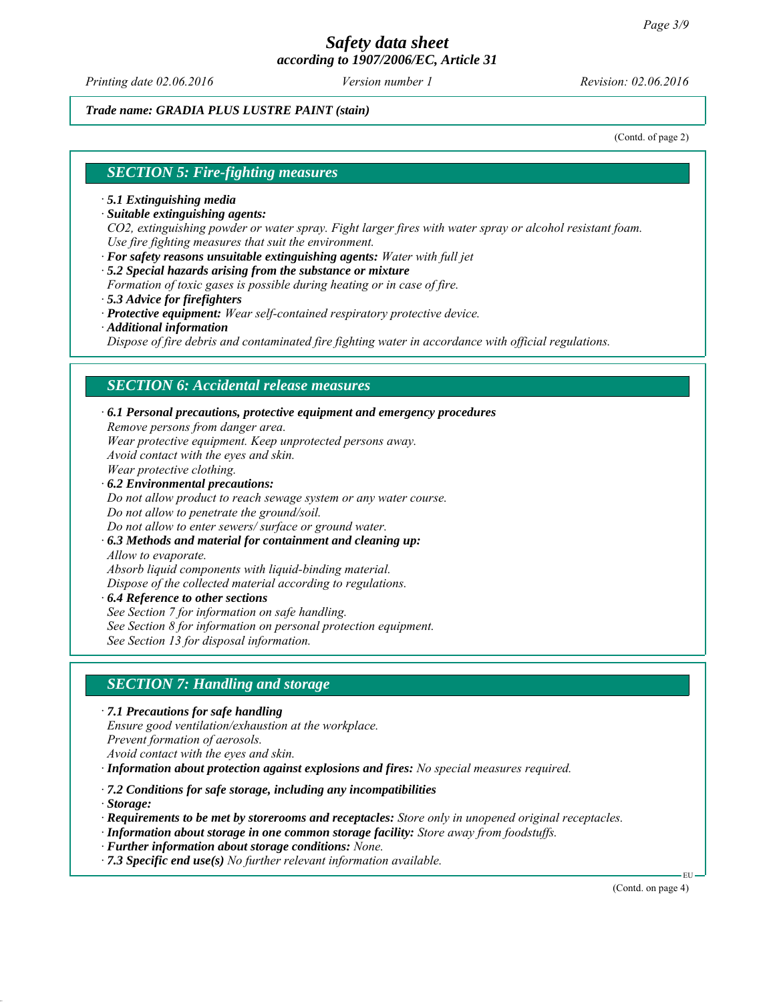*Printing date 02.06.2016 Revision: 02.06.2016 Version number 1*

*Trade name: GRADIA PLUS LUSTRE PAINT (stain)*

(Contd. of page 2)

#### *SECTION 5: Fire-fighting measures*

- *∙ 5.1 Extinguishing media*
- *∙ Suitable extinguishing agents:*

*CO2, extinguishing powder or water spray. Fight larger fires with water spray or alcohol resistant foam. Use fire fighting measures that suit the environment.*

- *∙ For safety reasons unsuitable extinguishing agents: Water with full jet*
- *∙ 5.2 Special hazards arising from the substance or mixture*
- *Formation of toxic gases is possible during heating or in case of fire.*
- *∙ 5.3 Advice for firefighters*
- *∙ Protective equipment: Wear self-contained respiratory protective device.*
- *∙ Additional information*

*Dispose of fire debris and contaminated fire fighting water in accordance with official regulations.*

#### *SECTION 6: Accidental release measures*

*∙ 6.1 Personal precautions, protective equipment and emergency procedures Remove persons from danger area. Wear protective equipment. Keep unprotected persons away. Avoid contact with the eyes and skin. Wear protective clothing. ∙ 6.2 Environmental precautions: Do not allow product to reach sewage system or any water course. Do not allow to penetrate the ground/soil. Do not allow to enter sewers/ surface or ground water.*

*∙ 6.3 Methods and material for containment and cleaning up: Allow to evaporate.*

*Absorb liquid components with liquid-binding material.*

*Dispose of the collected material according to regulations.*

- *∙ 6.4 Reference to other sections*
- *See Section 7 for information on safe handling.*
- *See Section 8 for information on personal protection equipment.*

*See Section 13 for disposal information.*

# *SECTION 7: Handling and storage*

*∙ 7.1 Precautions for safe handling Ensure good ventilation/exhaustion at the workplace. Prevent formation of aerosols. Avoid contact with the eyes and skin.*

*∙ Information about protection against explosions and fires: No special measures required.*

*∙ 7.2 Conditions for safe storage, including any incompatibilities*

*∙ Storage:*

*∙ Requirements to be met by storerooms and receptacles: Store only in unopened original receptacles.*

- *∙ Information about storage in one common storage facility: Store away from foodstuffs.*
- *∙ Further information about storage conditions: None.*
- *∙ 7.3 Specific end use(s) No further relevant information available.*

(Contd. on page 4)

EU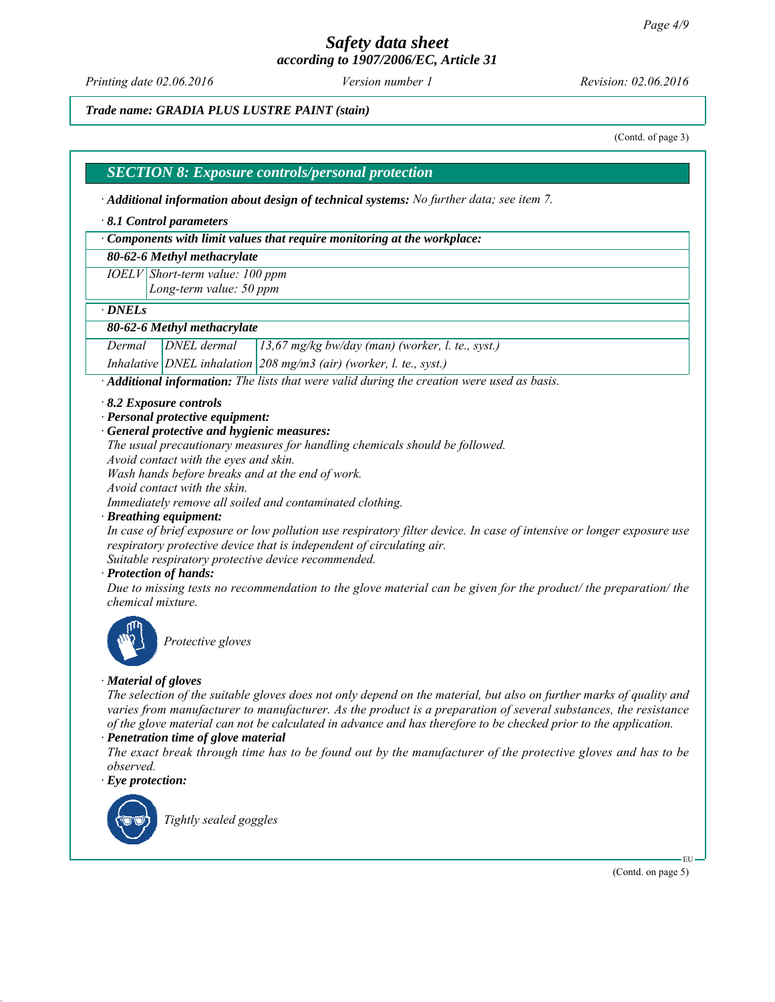# *Safety data sheet*

*according to 1907/2006/EC, Article 31*

*Printing date 02.06.2016 Revision: 02.06.2016 Version number 1*

*Trade name: GRADIA PLUS LUSTRE PAINT (stain)*

(Contd. of page 3)

#### *SECTION 8: Exposure controls/personal protection*

*∙ Additional information about design of technical systems: No further data; see item 7.*

#### *∙ 8.1 Control parameters*

*∙ Components with limit values that require monitoring at the workplace:*

#### *80-62-6 Methyl methacrylate*

*IOELV Short-term value: 100 ppm*

*Long-term value: 50 ppm*

*∙ DNELs*

#### *80-62-6 Methyl methacrylate*

*Dermal DNEL dermal 13,67 mg/kg bw/day (man) (worker, l. te., syst.)*

*Inhalative DNEL inhalation 208 mg/m3 (air) (worker, l. te., syst.)*

*∙ Additional information: The lists that were valid during the creation were used as basis.*

- *∙ 8.2 Exposure controls*
- *∙ Personal protective equipment:*
- *∙ General protective and hygienic measures:*

*The usual precautionary measures for handling chemicals should be followed.*

*Avoid contact with the eyes and skin.*

*Wash hands before breaks and at the end of work.*

*Avoid contact with the skin.*

*Immediately remove all soiled and contaminated clothing.*

*∙ Breathing equipment:*

*In case of brief exposure or low pollution use respiratory filter device. In case of intensive or longer exposure use respiratory protective device that is independent of circulating air.*

*Suitable respiratory protective device recommended.*

*∙ Protection of hands:*

*Due to missing tests no recommendation to the glove material can be given for the product/ the preparation/ the chemical mixture.*



*Protective gloves*

#### *∙ Material of gloves*

*The selection of the suitable gloves does not only depend on the material, but also on further marks of quality and varies from manufacturer to manufacturer. As the product is a preparation of several substances, the resistance of the glove material can not be calculated in advance and has therefore to be checked prior to the application.*

#### *∙ Penetration time of glove material*

*The exact break through time has to be found out by the manufacturer of the protective gloves and has to be observed.*

*∙ Eye protection:*



*Tightly sealed goggles*

(Contd. on page 5)

EU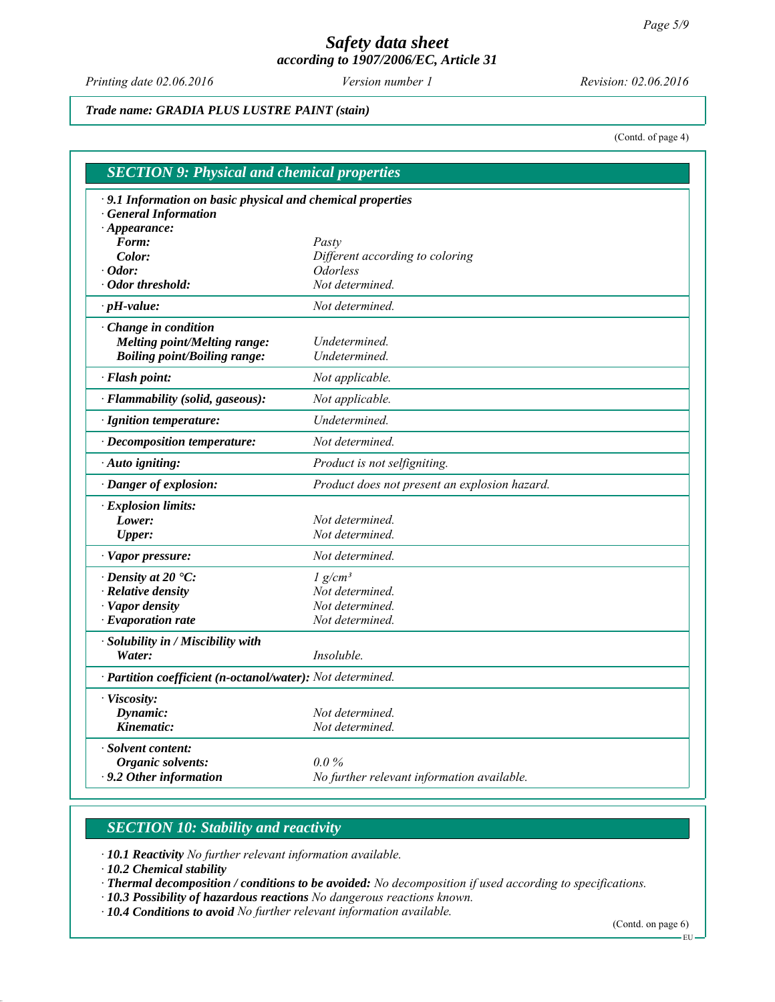*Printing date 02.06.2016 Revision: 02.06.2016 Version number 1*

*Trade name: GRADIA PLUS LUSTRE PAINT (stain)*

(Contd. of page 4)

| · 9.1 Information on basic physical and chemical properties |                                                  |
|-------------------------------------------------------------|--------------------------------------------------|
| <b>General Information</b>                                  |                                                  |
| $\cdot$ Appearance:                                         |                                                  |
| Form:                                                       | Pasty                                            |
| Color:                                                      | Different according to coloring                  |
| $\cdot$ Odor:<br>· Odor threshold:                          | <i><u><b>Odorless</b></u></i><br>Not determined. |
| $\cdot$ pH-value:                                           | Not determined.                                  |
|                                                             |                                                  |
| $\cdot$ Change in condition                                 |                                                  |
| <b>Melting point/Melting range:</b>                         | Undetermined.                                    |
| <b>Boiling point/Boiling range:</b>                         | Undetermined.                                    |
| · Flash point:                                              | Not applicable.                                  |
| · Flammability (solid, gaseous):                            | Not applicable.                                  |
| · Ignition temperature:                                     | Undetermined.                                    |
| · Decomposition temperature:                                | Not determined.                                  |
| · Auto igniting:                                            | Product is not selfigniting.                     |
| · Danger of explosion:                                      | Product does not present an explosion hazard.    |
| · Explosion limits:                                         |                                                  |
| Lower:                                                      | Not determined.                                  |
| <b>Upper:</b>                                               | Not determined.                                  |
| · Vapor pressure:                                           | Not determined.                                  |
| $\cdot$ Density at 20 $\degree$ C:                          | $1 g/cm^3$                                       |
| · Relative density                                          | Not determined.                                  |
| · Vapor density                                             | Not determined.                                  |
| $\cdot$ Evaporation rate                                    | Not determined.                                  |
| · Solubility in / Miscibility with                          |                                                  |
| Water:                                                      | Insoluble.                                       |
| · Partition coefficient (n-octanol/water): Not determined.  |                                                  |
| · Viscosity:                                                |                                                  |
| Dynamic:                                                    | Not determined.                                  |
| Kinematic:                                                  | Not determined.                                  |
| · Solvent content:                                          |                                                  |
| Organic solvents:                                           | $0.0\%$                                          |
| $\cdot$ 9.2 Other information                               | No further relevant information available.       |

# *SECTION 10: Stability and reactivity*

*∙ 10.1 Reactivity No further relevant information available.*

*∙ 10.2 Chemical stability*

*∙ Thermal decomposition / conditions to be avoided: No decomposition if used according to specifications.*

*∙ 10.3 Possibility of hazardous reactions No dangerous reactions known.*

*∙ 10.4 Conditions to avoid No further relevant information available.*

(Contd. on page 6)

 $-EU -$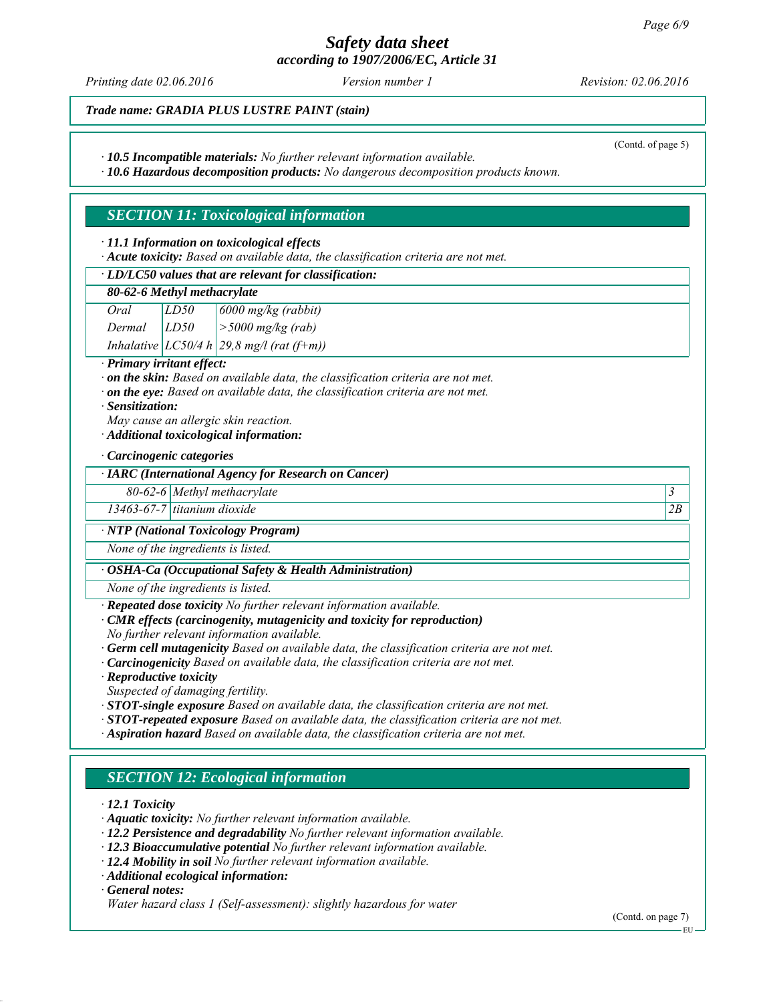*Printing date 02.06.2016 Revision: 02.06.2016 Version number 1*

*Trade name: GRADIA PLUS LUSTRE PAINT (stain)*

*∙ 10.5 Incompatible materials: No further relevant information available.*

*∙ 10.6 Hazardous decomposition products: No dangerous decomposition products known.*

# *SECTION 11: Toxicological information*

*∙ 11.1 Information on toxicological effects*

*∙ Acute toxicity: Based on available data, the classification criteria are not met.*

*∙ LD/LC50 values that are relevant for classification:*

#### *80-62-6 Methyl methacrylate*

*Oral LD50 6000 mg/kg (rabbit) Dermal LD50 >5000 mg/kg (rab) Inhalative LC50/4 h 29,8 mg/l (rat (f+m))*

#### *∙ Primary irritant effect:*

*∙ on the skin: Based on available data, the classification criteria are not met.*

*∙ on the eye: Based on available data, the classification criteria are not met.*

*∙ Sensitization:*

*May cause an allergic skin reaction.*

*∙ Additional toxicological information:*

*∙ Carcinogenic categories*

#### *∙ IARC (International Agency for Research on Cancer)*

*80-62-6 Methyl methacrylate 3* 

*13463-67-7 titanium dioxide 2B*

#### *∙ NTP (National Toxicology Program)*

*None of the ingredients is listed.*

#### *∙ OSHA-Ca (Occupational Safety & Health Administration)*

*None of the ingredients is listed.*

*∙ Repeated dose toxicity No further relevant information available.*

- *∙ CMR effects (carcinogenity, mutagenicity and toxicity for reproduction)*
- *No further relevant information available.*
- *∙ Germ cell mutagenicity Based on available data, the classification criteria are not met.*

*∙ Carcinogenicity Based on available data, the classification criteria are not met.*

*∙ Reproductive toxicity*

*Suspected of damaging fertility.*

- *∙ STOT-single exposure Based on available data, the classification criteria are not met.*
- *∙ STOT-repeated exposure Based on available data, the classification criteria are not met.*
- *∙ Aspiration hazard Based on available data, the classification criteria are not met.*

# *SECTION 12: Ecological information*

*∙ 12.1 Toxicity*

- *∙ Aquatic toxicity: No further relevant information available.*
- *∙ 12.2 Persistence and degradability No further relevant information available.*
- *∙ 12.3 Bioaccumulative potential No further relevant information available.*
- *∙ 12.4 Mobility in soil No further relevant information available.*
- *∙ Additional ecological information:*

*∙ General notes:*

*Water hazard class 1 (Self-assessment): slightly hazardous for water*

(Contd. of page 5)

EU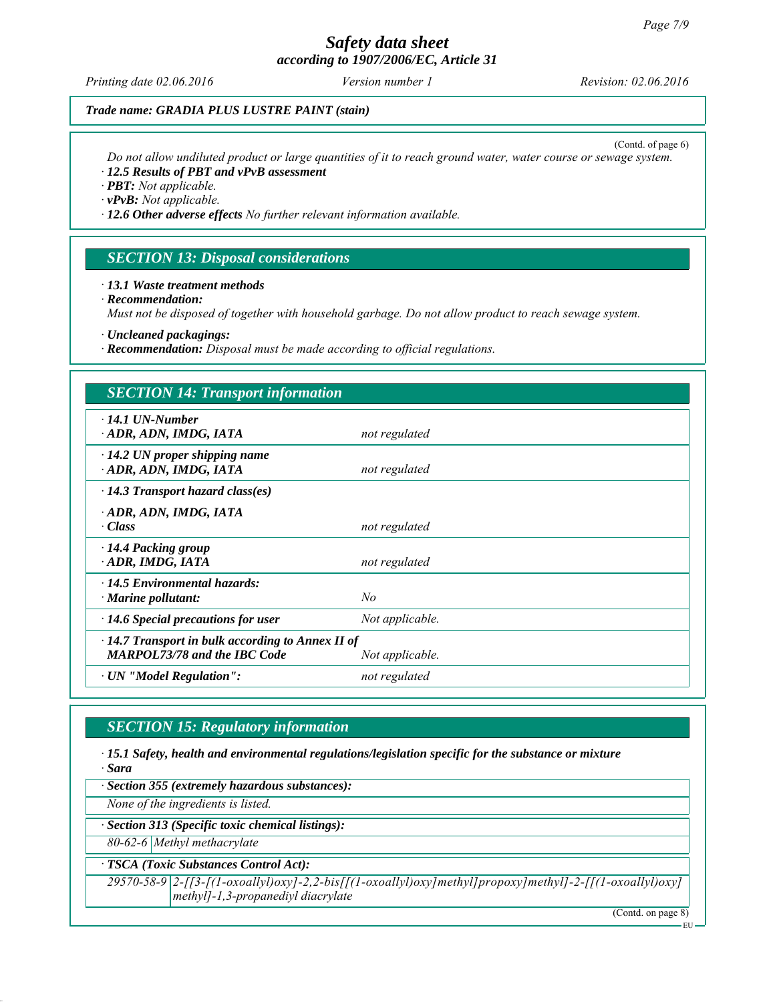*Printing date 02.06.2016 Revision: 02.06.2016 Version number 1*

# *Trade name: GRADIA PLUS LUSTRE PAINT (stain)*

(Contd. of page 6)

*Do not allow undiluted product or large quantities of it to reach ground water, water course or sewage system. ∙ 12.5 Results of PBT and vPvB assessment*

*∙ PBT: Not applicable.*

*∙ vPvB: Not applicable.*

*∙ 12.6 Other adverse effects No further relevant information available.*

# *SECTION 13: Disposal considerations*

#### *∙ 13.1 Waste treatment methods*

#### *∙ Recommendation:*

*Must not be disposed of together with household garbage. Do not allow product to reach sewage system.*

*∙ Uncleaned packagings:*

*∙ Recommendation: Disposal must be made according to official regulations.*

| <b>SECTION 14: Transport information</b>                                                       |                 |  |  |  |
|------------------------------------------------------------------------------------------------|-----------------|--|--|--|
| $\cdot$ 14.1 UN-Number<br>· ADR, ADN, IMDG, IATA                                               | not regulated   |  |  |  |
| $\cdot$ 14.2 UN proper shipping name<br>ADR, ADN, IMDG, IATA                                   | not regulated   |  |  |  |
| $\cdot$ 14.3 Transport hazard class(es)                                                        |                 |  |  |  |
| ADR, ADN, IMDG, IATA<br>$\cdot$ Class                                                          | not regulated   |  |  |  |
| · 14.4 Packing group<br>ADR, IMDG, IATA                                                        | not regulated   |  |  |  |
| $\cdot$ 14.5 Environmental hazards:<br>$\cdot$ Marine pollutant:                               | No              |  |  |  |
| $\cdot$ 14.6 Special precautions for user                                                      | Not applicable. |  |  |  |
| $\cdot$ 14.7 Transport in bulk according to Annex II of<br><b>MARPOL73/78 and the IBC Code</b> | Not applicable. |  |  |  |
| $\cdot$ UN "Model Regulation":                                                                 | not regulated   |  |  |  |

# *SECTION 15: Regulatory information*

*∙ 15.1 Safety, health and environmental regulations/legislation specific for the substance or mixture ∙ Sara*

*∙ Section 355 (extremely hazardous substances):*

*None of the ingredients is listed.*

*∙ Section 313 (Specific toxic chemical listings):*

*80-62-6 Methyl methacrylate*

*∙ TSCA (Toxic Substances Control Act):*

*29570-58-9 2-[[3-[(1-oxoallyl)oxy]-2,2-bis[[(1-oxoallyl)oxy]methyl]propoxy]methyl]-2-[[(1-oxoallyl)oxy] methyl]-1,3-propanediyl diacrylate*

(Contd. on page 8)

EU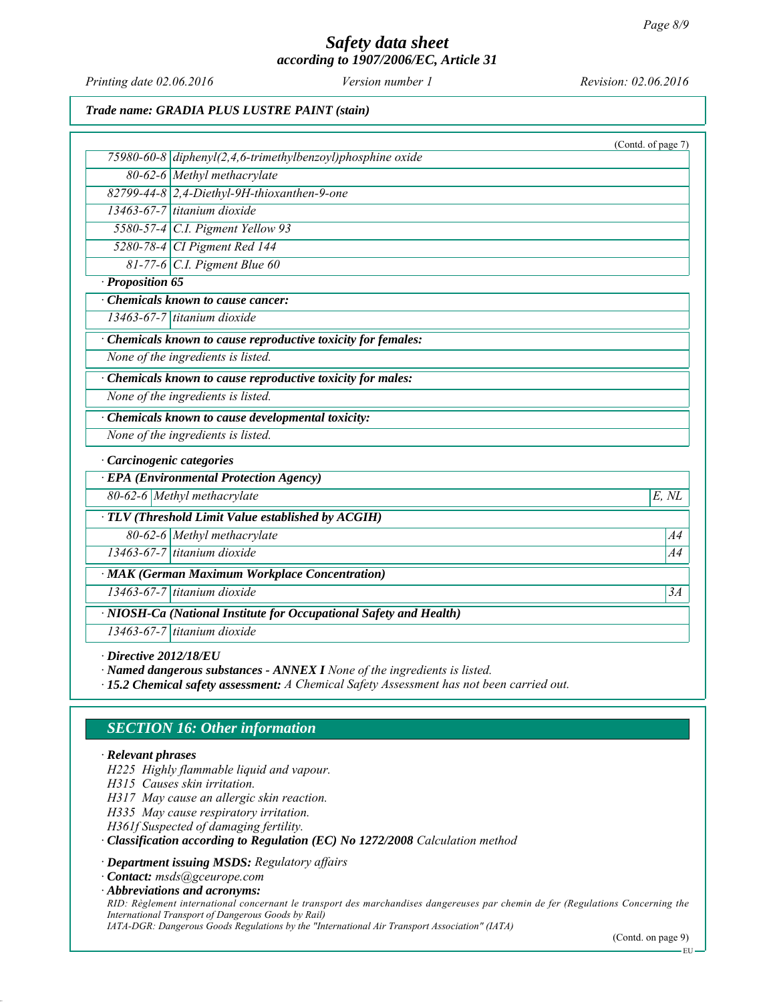*Printing date 02.06.2016 Revision: 02.06.2016 Version number 1*

# *Trade name: GRADIA PLUS LUSTRE PAINT (stain)*

|                  | (Contd. of page 7)                                                 |
|------------------|--------------------------------------------------------------------|
|                  | 75980-60-8 $diphenyl(2, 4, 6-trimethylbenzoyl)phosphine oxide$     |
|                  | 80-62-6 Methyl methacrylate                                        |
|                  | 82799-44-8 2,4-Diethyl-9H-thioxanthen-9-one                        |
|                  | $\overline{13463-67-7}$ titanium dioxide                           |
|                  | 5580-57-4 $C.I.$ Pigment Yellow 93                                 |
|                  | 5280-78-4 CI Pigment Red 144                                       |
|                  | $81-77-6$ C.I. Pigment Blue 60                                     |
| · Proposition 65 |                                                                    |
|                  | Chemicals known to cause cancer:                                   |
|                  | 13463-67-7 titanium dioxide                                        |
|                  | Chemicals known to cause reproductive toxicity for females:        |
|                  | None of the ingredients is listed.                                 |
|                  | Chemicals known to cause reproductive toxicity for males:          |
|                  | None of the ingredients is listed.                                 |
|                  | · Chemicals known to cause developmental toxicity:                 |
|                  | None of the ingredients is listed.                                 |
|                  | · Carcinogenic categories                                          |
|                  | <b>EPA</b> (Environmental Protection Agency)                       |
|                  | 80-62-6 Methyl methacrylate<br>E, NL                               |
|                  | · TLV (Threshold Limit Value established by ACGIH)                 |
|                  | 80-62-6 Methyl methacrylate<br>A4                                  |
|                  | $13463-67-7$ titanium dioxide<br>A4                                |
|                  | · MAK (German Maximum Workplace Concentration)                     |
|                  | 13463-67-7 titanium dioxide<br>3A                                  |
|                  | · NIOSH-Ca (National Institute for Occupational Safety and Health) |
|                  | 13463-67-7 titanium dioxide                                        |

*∙ Directive 2012/18/EU*

*∙ Named dangerous substances - ANNEX I None of the ingredients is listed.*

*∙ 15.2 Chemical safety assessment: A Chemical Safety Assessment has not been carried out.*

# *SECTION 16: Other information*

#### *∙ Relevant phrases*

*H225 Highly flammable liquid and vapour.*

*H315 Causes skin irritation.*

*H317 May cause an allergic skin reaction.*

*H335 May cause respiratory irritation.*

*H361f Suspected of damaging fertility.*

*∙ Classification according to Regulation (EC) No 1272/2008 Calculation method*

*∙ Department issuing MSDS: Regulatory affairs*

*∙ Contact: msds@gceurope.com*

*∙ Abbreviations and acronyms:*

*RID: Règlement international concernant le transport des marchandises dangereuses par chemin de fer (Regulations Concerning the International Transport of Dangerous Goods by Rail)*

*IATA-DGR: Dangerous Goods Regulations by the "International Air Transport Association" (IATA)*

(Contd. on page 9)